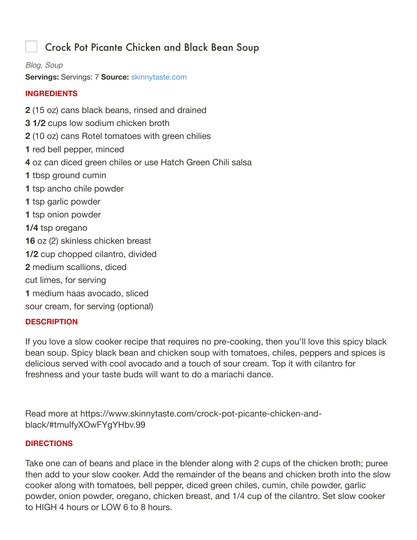# Crock Pot Picante Chicken and Black Bean Soup

#### *Blog, Soup*

**Servings:** Servings: 7 **Source:** skinnytaste.com

# **INGREDIENTS**

 (15 oz) cans black beans, rinsed and drained **3 1/2** cups low sodium chicken broth (10 oz) cans Rotel tomatoes with green chilies red bell pepper, minced oz can diced green chiles or use Hatch Green Chili salsa tbsp ground cumin tsp ancho chile powder tsp garlic powder tsp onion powder **1/4** tsp oregano oz (2) skinless chicken breast **1/2** cup chopped cilantro, divided medium scallions, diced cut limes, for serving medium haas avocado, sliced sour cream, for serving (optional)

#### **DESCRIPTION**

If you love a slow cooker recipe that requires no pre-cooking, then you'll love this spicy black bean soup. Spicy black bean and chicken soup with tomatoes, chiles, peppers and spices is delicious served with cool avocado and a touch of sour cream. Top it with cilantro for freshness and your taste buds will want to do a mariachi dance.

Read more at https://www.skinnytaste.com/crock-pot-picante-chicken-andblack/#tmuIfyXOwFYgYHbv.99

#### **DIRECTIONS**

Take one can of beans and place in the blender along with 2 cups of the chicken broth; puree then add to your slow cooker. Add the remainder of the beans and chicken broth into the slow cooker along with tomatoes, bell pepper, diced green chiles, cumin, chile powder, garlic powder, onion powder, oregano, chicken breast, and 1/4 cup of the cilantro. Set slow cooker to HIGH 4 hours or LOW 6 to 8 hours.